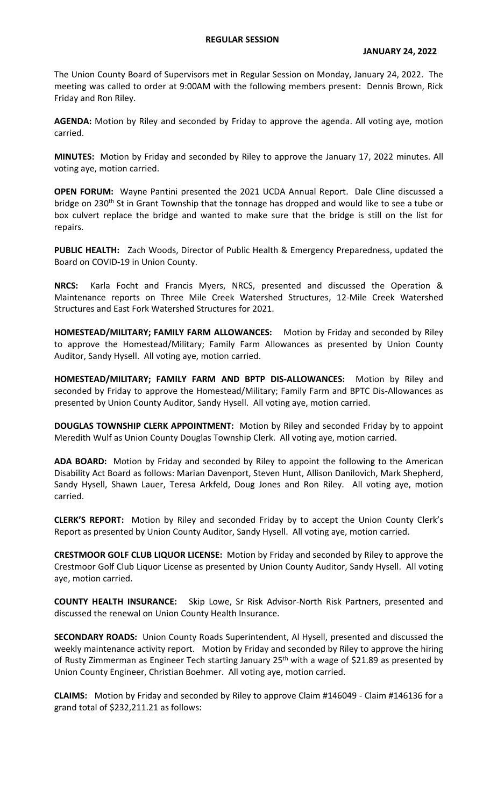## **REGULAR SESSION**

The Union County Board of Supervisors met in Regular Session on Monday, January 24, 2022. The meeting was called to order at 9:00AM with the following members present: Dennis Brown, Rick Friday and Ron Riley.

**AGENDA:** Motion by Riley and seconded by Friday to approve the agenda. All voting aye, motion carried.

**MINUTES:** Motion by Friday and seconded by Riley to approve the January 17, 2022 minutes. All voting aye, motion carried.

**OPEN FORUM:** Wayne Pantini presented the 2021 UCDA Annual Report. Dale Cline discussed a bridge on 230<sup>th</sup> St in Grant Township that the tonnage has dropped and would like to see a tube or box culvert replace the bridge and wanted to make sure that the bridge is still on the list for repairs.

**PUBLIC HEALTH:** Zach Woods, Director of Public Health & Emergency Preparedness, updated the Board on COVID-19 in Union County.

**NRCS:** Karla Focht and Francis Myers, NRCS, presented and discussed the Operation & Maintenance reports on Three Mile Creek Watershed Structures, 12-Mile Creek Watershed Structures and East Fork Watershed Structures for 2021.

**HOMESTEAD/MILITARY; FAMILY FARM ALLOWANCES:** Motion by Friday and seconded by Riley to approve the Homestead/Military; Family Farm Allowances as presented by Union County Auditor, Sandy Hysell. All voting aye, motion carried.

**HOMESTEAD/MILITARY; FAMILY FARM AND BPTP DIS-ALLOWANCES:** Motion by Riley and seconded by Friday to approve the Homestead/Military; Family Farm and BPTC Dis-Allowances as presented by Union County Auditor, Sandy Hysell. All voting aye, motion carried.

**DOUGLAS TOWNSHIP CLERK APPOINTMENT:** Motion by Riley and seconded Friday by to appoint Meredith Wulf as Union County Douglas Township Clerk. All voting aye, motion carried.

**ADA BOARD:** Motion by Friday and seconded by Riley to appoint the following to the American Disability Act Board as follows: Marian Davenport, Steven Hunt, Allison Danilovich, Mark Shepherd, Sandy Hysell, Shawn Lauer, Teresa Arkfeld, Doug Jones and Ron Riley. All voting aye, motion carried.

**CLERK'S REPORT:** Motion by Riley and seconded Friday by to accept the Union County Clerk's Report as presented by Union County Auditor, Sandy Hysell. All voting aye, motion carried.

**CRESTMOOR GOLF CLUB LIQUOR LICENSE:** Motion by Friday and seconded by Riley to approve the Crestmoor Golf Club Liquor License as presented by Union County Auditor, Sandy Hysell. All voting aye, motion carried.

**COUNTY HEALTH INSURANCE:** Skip Lowe, Sr Risk Advisor-North Risk Partners, presented and discussed the renewal on Union County Health Insurance.

**SECONDARY ROADS:** Union County Roads Superintendent, Al Hysell, presented and discussed the weekly maintenance activity report. Motion by Friday and seconded by Riley to approve the hiring of Rusty Zimmerman as Engineer Tech starting January 25<sup>th</sup> with a wage of \$21.89 as presented by Union County Engineer, Christian Boehmer. All voting aye, motion carried.

**CLAIMS:** Motion by Friday and seconded by Riley to approve Claim #146049 - Claim #146136 for a grand total of \$232,211.21 as follows: